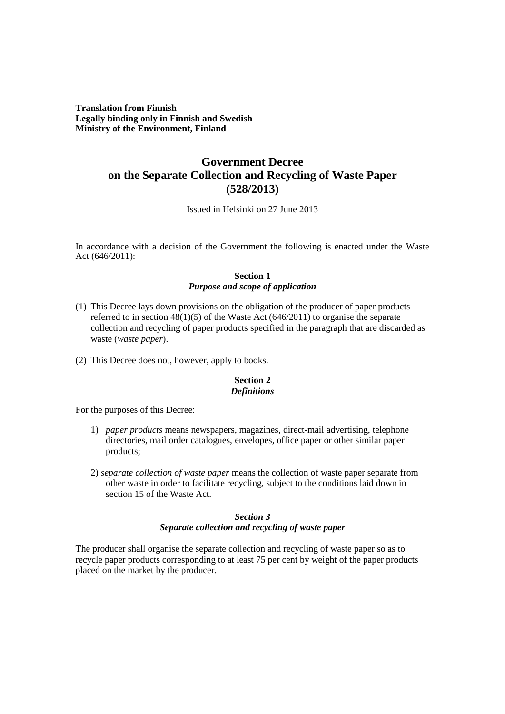**Translation from Finnish Legally binding only in Finnish and Swedish Ministry of the Environment, Finland**

# **Government Decree on the Separate Collection and Recycling of Waste Paper (528/2013)**

Issued in Helsinki on 27 June 2013

In accordance with a decision of the Government the following is enacted under the Waste Act (646/2011):

## **Section 1** *Purpose and scope of application*

- (1) This Decree lays down provisions on the obligation of the producer of paper products referred to in section 48(1)(5) of the Waste Act (646/2011) to organise the separate collection and recycling of paper products specified in the paragraph that are discarded as waste (*waste paper*).
- (2) This Decree does not, however, apply to books.

## **Section 2** *Definitions*

For the purposes of this Decree:

- 1) *paper products* means newspapers, magazines, direct-mail advertising, telephone directories, mail order catalogues, envelopes, office paper or other similar paper products;
- 2) *separate collection of waste paper* means the collection of waste paper separate from other waste in order to facilitate recycling, subject to the conditions laid down in section 15 of the Waste Act.

# *Section 3 Separate collection and recycling of waste paper*

The producer shall organise the separate collection and recycling of waste paper so as to recycle paper products corresponding to at least 75 per cent by weight of the paper products placed on the market by the producer.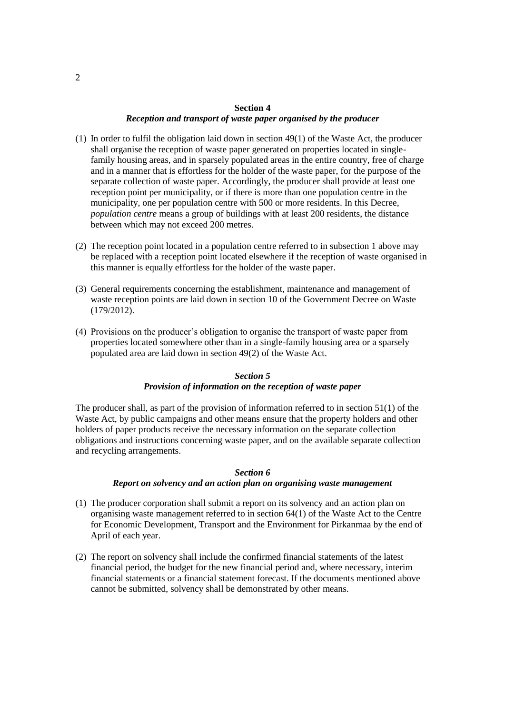# **Section 4** *Reception and transport of waste paper organised by the producer*

- (1) In order to fulfil the obligation laid down in section 49(1) of the Waste Act, the producer shall organise the reception of waste paper generated on properties located in singlefamily housing areas, and in sparsely populated areas in the entire country, free of charge and in a manner that is effortless for the holder of the waste paper, for the purpose of the separate collection of waste paper. Accordingly, the producer shall provide at least one reception point per municipality, or if there is more than one population centre in the municipality, one per population centre with 500 or more residents. In this Decree, *population centre* means a group of buildings with at least 200 residents, the distance between which may not exceed 200 metres.
- (2) The reception point located in a population centre referred to in subsection 1 above may be replaced with a reception point located elsewhere if the reception of waste organised in this manner is equally effortless for the holder of the waste paper.
- (3) General requirements concerning the establishment, maintenance and management of waste reception points are laid down in section 10 of the Government Decree on Waste (179/2012).
- (4) Provisions on the producer's obligation to organise the transport of waste paper from properties located somewhere other than in a single-family housing area or a sparsely populated area are laid down in section 49(2) of the Waste Act.

#### *Section 5*

## *Provision of information on the reception of waste paper*

The producer shall, as part of the provision of information referred to in section 51(1) of the Waste Act, by public campaigns and other means ensure that the property holders and other holders of paper products receive the necessary information on the separate collection obligations and instructions concerning waste paper, and on the available separate collection and recycling arrangements.

#### *Section 6*

#### *Report on solvency and an action plan on organising waste management*

- (1) The producer corporation shall submit a report on its solvency and an action plan on organising waste management referred to in section 64(1) of the Waste Act to the Centre for Economic Development, Transport and the Environment for Pirkanmaa by the end of April of each year.
- (2) The report on solvency shall include the confirmed financial statements of the latest financial period, the budget for the new financial period and, where necessary, interim financial statements or a financial statement forecast. If the documents mentioned above cannot be submitted, solvency shall be demonstrated by other means.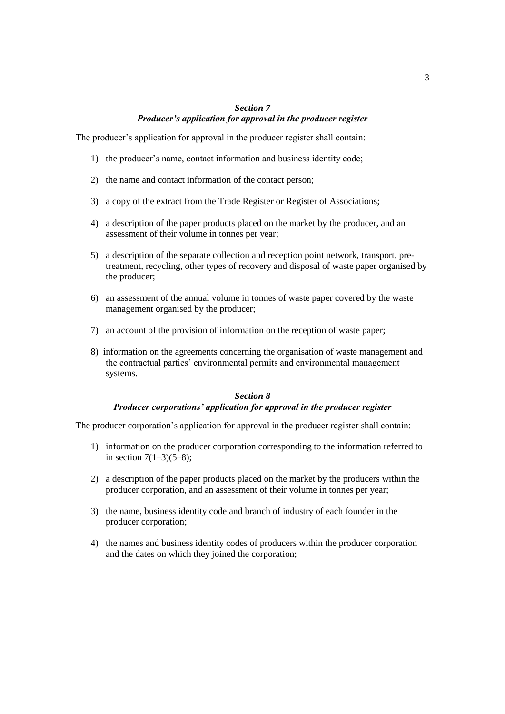# *Section 7 Producer's application for approval in the producer register*

The producer's application for approval in the producer register shall contain:

- 1) the producer's name, contact information and business identity code;
- 2) the name and contact information of the contact person;
- 3) a copy of the extract from the Trade Register or Register of Associations;
- 4) a description of the paper products placed on the market by the producer, and an assessment of their volume in tonnes per year;
- 5) a description of the separate collection and reception point network, transport, pretreatment, recycling, other types of recovery and disposal of waste paper organised by the producer;
- 6) an assessment of the annual volume in tonnes of waste paper covered by the waste management organised by the producer;
- 7) an account of the provision of information on the reception of waste paper;
- 8) information on the agreements concerning the organisation of waste management and the contractual parties' environmental permits and environmental management systems.

# *Section 8*

# *Producer corporations' application for approval in the producer register*

The producer corporation's application for approval in the producer register shall contain:

- 1) information on the producer corporation corresponding to the information referred to in section  $7(1-3)(5-8)$ ;
- 2) a description of the paper products placed on the market by the producers within the producer corporation, and an assessment of their volume in tonnes per year;
- 3) the name, business identity code and branch of industry of each founder in the producer corporation;
- 4) the names and business identity codes of producers within the producer corporation and the dates on which they joined the corporation;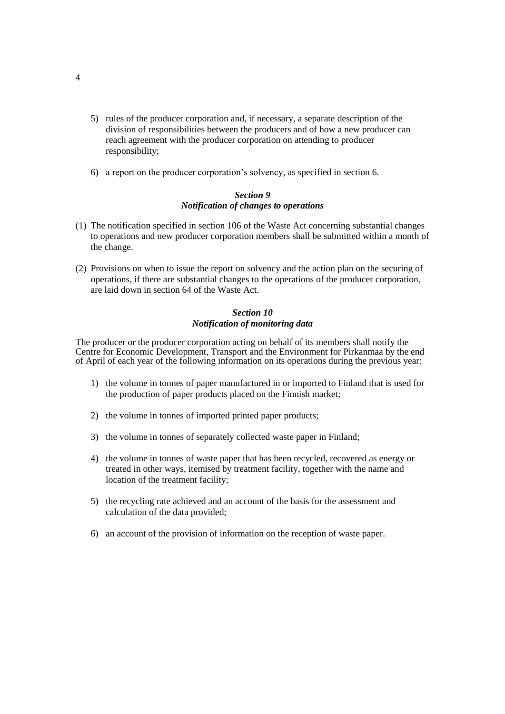- 5) rules of the producer corporation and, if necessary, a separate description of the division of responsibilities between the producers and of how a new producer can reach agreement with the producer corporation on attending to producer responsibility;
- 6) a report on the producer corporation's solvency, as specified in section 6.

### *Section 9 Notification of changes to operations*

- (1) The notification specified in section 106 of the Waste Act concerning substantial changes to operations and new producer corporation members shall be submitted within a month of the change.
- (2) Provisions on when to issue the report on solvency and the action plan on the securing of operations, if there are substantial changes to the operations of the producer corporation, are laid down in section 64 of the Waste Act.

## *Section 10 Notification of monitoring data*

The producer or the producer corporation acting on behalf of its members shall notify the Centre for Economic Development, Transport and the Environment for Pirkanmaa by the end of April of each year of the following information on its operations during the previous year:

- 1) the volume in tonnes of paper manufactured in or imported to Finland that is used for the production of paper products placed on the Finnish market;
- 2) the volume in tonnes of imported printed paper products;
- 3) the volume in tonnes of separately collected waste paper in Finland;
- 4) the volume in tonnes of waste paper that has been recycled, recovered as energy or treated in other ways, itemised by treatment facility, together with the name and location of the treatment facility;
- 5) the recycling rate achieved and an account of the basis for the assessment and calculation of the data provided;
- 6) an account of the provision of information on the reception of waste paper.